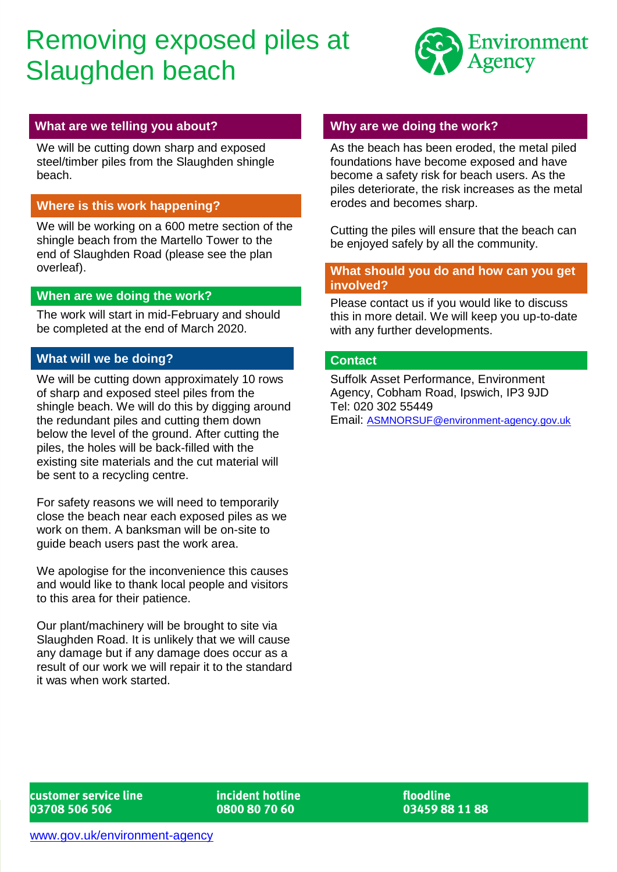# Removing exposed piles at Slaughden beach



## **What are we telling you about?**

We will be cutting down sharp and exposed steel/timber piles from the Slaughden shingle beach.

# **Where is this work happening?**

We will be working on a 600 metre section of the shingle beach from the Martello Tower to the end of Slaughden Road (please see the plan overleaf).

## **When are we doing the work?**

The work will start in mid-February and should be completed at the end of March 2020.

# **What will we be doing?**

We will be cutting down approximately 10 rows of sharp and exposed steel piles from the shingle beach. We will do this by digging around the redundant piles and cutting them down below the level of the ground. After cutting the piles, the holes will be back-filled with the existing site materials and the cut material will be sent to a recycling centre.

For safety reasons we will need to temporarily close the beach near each exposed piles as we work on them. A banksman will be on-site to guide beach users past the work area.

We apologise for the inconvenience this causes and would like to thank local people and visitors to this area for their patience.

Our plant/machinery will be brought to site via Slaughden Road. It is unlikely that we will cause any damage but if any damage does occur as a result of our work we will repair it to the standard it was when work started.

#### **Why are we doing the work?**

As the beach has been eroded, the metal piled foundations have become exposed and have become a safety risk for beach users. As the piles deteriorate, the risk increases as the metal erodes and becomes sharp.

Cutting the piles will ensure that the beach can be enjoyed safely by all the community.

#### **What should you do and how can you get involved?**

Please contact us if you would like to discuss this in more detail. We will keep you up-to-date with any further developments.

#### **Contact**

Suffolk Asset Performance, Environment Agency, Cobham Road, Ipswich, IP3 9JD Tel: 020 302 55449 Email: [ASMNORSUF@environment-agency.gov.uk](mailto:ASMNORSUF@environment-agency.gov.uk)

customer service line 03708 506 506

incident hotline 0800 80 70 60

floodline 03459 88 11 88